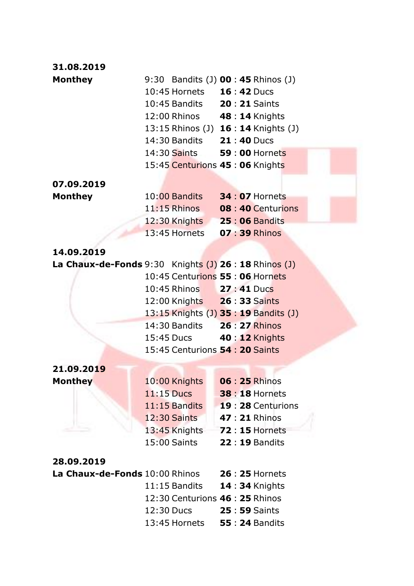| 31.08.2019                                              |              |                                            |  |                                       |
|---------------------------------------------------------|--------------|--------------------------------------------|--|---------------------------------------|
| <b>Monthey</b>                                          |              | 9:30 Bandits (J) <b>00 : 45</b> Rhinos (J) |  |                                       |
|                                                         |              | 10:45 Hornets  16:42 Ducs                  |  |                                       |
|                                                         |              | 10:45 Bandits <b>20:21</b> Saints          |  |                                       |
|                                                         |              | 12:00 Rhinos 48: 14 Knights                |  |                                       |
|                                                         |              |                                            |  | 13:15 Rhinos (J) 16:14 Knights (J)    |
|                                                         |              | 14:30 Bandits 21:40 Ducs                   |  |                                       |
|                                                         |              | 14:30 Saints 59 : 00 Hornets               |  |                                       |
|                                                         |              | 15:45 Centurions 45: 06 Knights            |  |                                       |
| 07.09.2019                                              |              |                                            |  |                                       |
| <b>Monthey</b>                                          |              | 10:00 Bandits 34:07 Hornets                |  |                                       |
|                                                         |              |                                            |  | 11:15 Rhinos 08 : 40 Centurions       |
|                                                         |              | 12:30 Knights 25:06 Bandits                |  |                                       |
|                                                         |              | 13:45 Hornets 07:39 Rhinos                 |  |                                       |
| 14.09.2019                                              |              |                                            |  |                                       |
| La Chaux-de-Fonds $9:30$ Knights (J) 26 : 18 Rhinos (J) |              |                                            |  |                                       |
|                                                         |              | 10:45 Centurions 55: 06 Hornets            |  |                                       |
|                                                         |              | 10:45 Rhinos 27:41 Ducs                    |  |                                       |
|                                                         |              | 12:00 Knights  26:33 Saints                |  |                                       |
|                                                         |              |                                            |  | 13:15 Knights (J) 35 : 19 Bandits (J) |
|                                                         |              | 14:30 Bandits 26: 27 Rhinos                |  |                                       |
|                                                         |              | 15:45 Ducs 40: 12 Knights                  |  |                                       |
|                                                         |              | 15:45 Centurions 54: 20 Saints             |  |                                       |
| 21.09.2019                                              |              |                                            |  |                                       |
| <b>Monthey</b>                                          |              | 10:00 Knights                              |  | <b>06 : 25 Rhinos</b>                 |
|                                                         | $11:15$ Ducs |                                            |  | <b>38 : 18 Hornets</b>                |
|                                                         |              | 11:15 Bandits                              |  | 19:28 Centurions                      |
|                                                         |              | <b>12:30 Saints</b>                        |  | 47 : 21 Rhinos                        |
|                                                         |              | 13:45 Knights                              |  | <b>72:15 Hornets</b>                  |
|                                                         |              | 15:00 Saints                               |  | <b>22:19 Bandits</b>                  |
| 28.09.2019                                              |              |                                            |  |                                       |
| La Chaux-de-Fonds 10:00 Rhinos                          |              |                                            |  | <b>26 : 25 Hornets</b>                |
|                                                         |              | 11:15 Bandits                              |  | <b>14:34 Knights</b>                  |
|                                                         |              | 12:30 Centurions 46 : 25 Rhinos            |  |                                       |
|                                                         | 12:30 Ducs   |                                            |  | 25 : 59 Saints                        |
|                                                         |              | 13:45 Hornets                              |  | <b>55:24 Bandits</b>                  |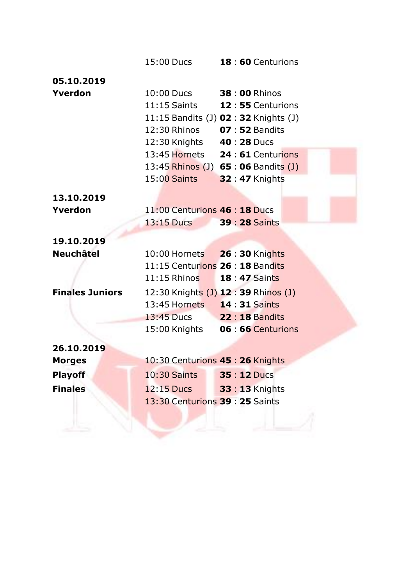|                        |                                  | 15:00 Ducs <b>18:60</b> Centurions    |  |
|------------------------|----------------------------------|---------------------------------------|--|
| 05.10.2019             |                                  |                                       |  |
| Yverdon                | 10:00 Ducs 38:00 Rhinos          |                                       |  |
|                        |                                  | 11:15 Saints 12:55 Centurions         |  |
|                        |                                  | 11:15 Bandits (J) 02 : 32 Knights (J) |  |
|                        | 12:30 Rhinos 07:52 Bandits       |                                       |  |
|                        | 12:30 Knights 40: 28 Ducs        |                                       |  |
|                        |                                  | 13:45 Hornets 24 : 61 Centurions      |  |
|                        |                                  | 13:45 Rhinos (J) 65 : 06 Bandits (J)  |  |
|                        | 15:00 Saints                     | <b>32:47 Knights</b>                  |  |
| 13.10.2019             |                                  |                                       |  |
| Yverdon                | 11:00 Centurions 46 : 18 Ducs    |                                       |  |
|                        | 13:15 Ducs 39 : 28 Saints        |                                       |  |
| 19.10.2019             |                                  |                                       |  |
| <b>Neuchâtel</b>       | 10:00 Hornets   26 : 30 Knights  |                                       |  |
|                        | 11:15 Centurions 26 : 18 Bandits |                                       |  |
|                        | 11:15 Rhinos 18:47 Saints        |                                       |  |
| <b>Finales Juniors</b> |                                  | 12:30 Knights (J) 12:39 Rhinos (J)    |  |
|                        | 13:45 Hornets  14:31 Saints      |                                       |  |
|                        | 13:45 Ducs 22:18 Bandits         |                                       |  |
|                        |                                  | 15:00 Knights 06:66 Centurions        |  |
| 26.10.2019             |                                  |                                       |  |
| <b>Morges</b>          | 10:30 Centurions 45: 26 Knights  |                                       |  |
| <b>Playoff</b>         | <b>10:30 Saints</b>              | <b>35 : 12 Ducs</b>                   |  |
| <b>Finales</b>         | 12:15 Ducs                       | <b>33 : 13 Knights</b>                |  |
|                        | 13:30 Centurions 39: 25 Saints   |                                       |  |
|                        |                                  |                                       |  |
|                        |                                  |                                       |  |
|                        |                                  |                                       |  |